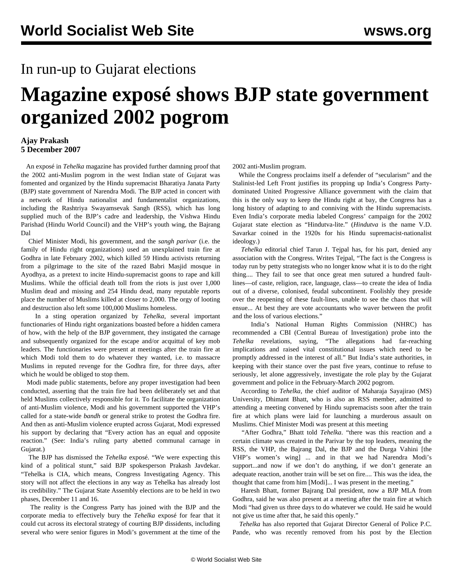## In run-up to Gujarat elections

## **Magazine exposé shows BJP state government organized 2002 pogrom**

## **Ajay Prakash 5 December 2007**

 An exposé in *Tehelka* magazine has provided further damning proof that the 2002 anti-Muslim pogrom in the west Indian state of Gujarat was fomented and organized by the Hindu supremacist Bharatiya Janata Party (BJP) state government of Narendra Modi. The BJP acted in concert with a network of Hindu nationalist and fundamentalist organizations, including the Rashtriya Swayamsevak Sangh (RSS), which has long supplied much of the BJP's cadre and leadership, the Vishwa Hindu Parishad (Hindu World Council) and the VHP's youth wing, the Bajrang Dal

 Chief Minister Modi, his government, and the *sangh parivar* (i.e. the family of Hindu right organizations) used an unexplained train fire at Godhra in late February 2002, which killed 59 Hindu activists returning from a pilgrimage to the site of the razed Babri Masjid mosque in Ayodhya, as a pretext to incite Hindu-supremacist goons to rape and kill Muslims. While the official death toll from the riots is just over 1,000 Muslim dead and missing and 254 Hindu dead, many reputable reports place the number of Muslims killed at closer to 2,000. The orgy of looting and destruction also left some 100,000 Muslims homeless.

 In a sting operation organized by *Tehelka*, several important functionaries of Hindu right organizations boasted before a hidden camera of how, with the help of the BJP government, they instigated the carnage and subsequently organized for the escape and/or acquittal of key mob leaders. The functionaries were present at meetings after the train fire at which Modi told them to do whatever they wanted, i.e. to massacre Muslims in reputed revenge for the Godhra fire, for three days, after which he would be obliged to stop them.

 Modi made public statements, before any proper investigation had been conducted, asserting that the train fire had been deliberately set and that held Muslims collectively responsible for it. To facilitate the organization of anti-Muslim violence, Modi and his government supported the VHP's called for a state-wide *bandh* or general strike to protest the Godhra fire. And then as anti-Muslim violence erupted across Gujarat, Modi expressed his support by declaring that "Every action has an equal and opposite reaction." (See: India's ruling party abetted communal carnage in Gujarat.)

 The BJP has dismissed the *Tehelka* exposé. "We were expecting this kind of a political stunt," said BJP spokesperson Prakash Javdekar. "Tehelka is CIA, which means, Congress Investigating Agency. This story will not affect the elections in any way as Tehelka has already lost its credibility." The Gujarat State Assembly elections are to be held in two phases, December 11 and 16.

 The reality is the Congress Party has joined with the BJP and the corporate media to effectively bury the *Tehelka* exposé for fear that it could cut across its electoral strategy of courting BJP dissidents, including several who were senior figures in Modi's government at the time of the

2002 anti-Muslim program.

 While the Congress proclaims itself a defender of "secularism" and the Stalinist-led Left Front justifies its propping up India's Congress Partydominated United Progressive Alliance government with the claim that this is the only way to keep the Hindu right at bay, the Congress has a long history of adapting to and conniving with the Hindu supremacists. Even India's corporate media labeled Congress' campaign for the 2002 Gujarat state election as "Hindutva-lite." (*Hindutva* is the name V.D. Savarkar coined in the 1920s for his Hindu supremacist-nationalist ideology.)

 *Tehelka* editorial chief Tarun J. Tejpal has, for his part, denied any association with the Congress. Writes Tejpal, "The fact is the Congress is today run by petty strategists who no longer know what it is to do the right thing.... They fail to see that once great men sutured a hundred faultlines—of caste, religion, race, language, class—to create the idea of India out of a diverse, colonised, feudal subcontinent. Foolishly they preside over the reopening of these fault-lines, unable to see the chaos that will ensue... At best they are vote accountants who waver between the profit and the loss of various elections."

 India's National Human Rights Commission (NHRC) has recommended a CBI (Central Bureau of Investigation) probe into the *Tehelka* revelations, saying, "The allegations had far-reaching implications and raised vital constitutional issues which need to be promptly addressed in the interest of all." But India's state authorities, in keeping with their stance over the past five years, continue to refuse to seriously, let alone aggressively, investigate the role play by the Gujarat government and police in the February-March 2002 pogrom.

 According to *Tehelka*, the chief auditor of Maharaja Sayajirao (MS) University, Dhimant Bhatt, who is also an RSS member, admitted to attending a meeting convened by Hindu supremacists soon after the train fire at which plans were laid for launching a murderous assault on Muslims. Chief Minister Modi was present at this meeting

 "After Godhra," Bhatt told *Tehelka*. "there was this reaction and a certain climate was created in the Parivar by the top leaders, meaning the RSS, the VHP, the Bajrang Dal, the BJP and the Durga Vahini [the VHP's women's wing] ... and in that we had Narendra Modi's support...and now if we don't do anything, if we don't generate an adequate reaction, another train will be set on fire.... This was the idea, the thought that came from him [Modi]... I was present in the meeting."

 Haresh Bhatt, former Bajrang Dal president, now a BJP MLA from Godhra, said he was also present at a meeting after the train fire at which Modi "had given us three days to do whatever we could. He said he would not give us time after that, he said this openly."

 *Tehelka* has also reported that Gujarat Director General of Police P.C. Pande, who was recently removed from his post by the Election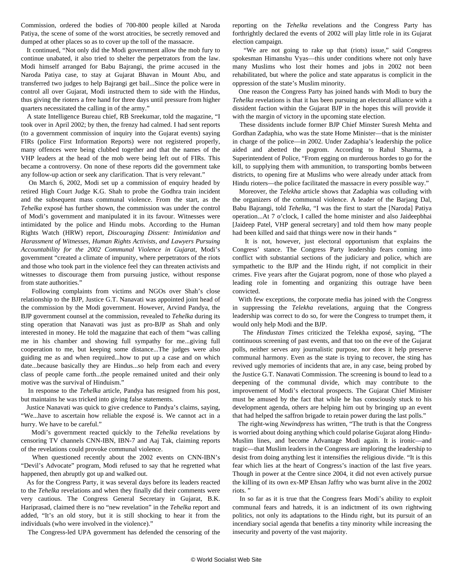Commission, ordered the bodies of 700-800 people killed at Naroda Patiya, the scene of some of the worst atrocities, be secretly removed and dumped at other places so as to cover up the toll of the massacre.

 It continued, "Not only did the Modi government allow the mob fury to continue unabated, it also tried to shelter the perpetrators from the law. Modi himself arranged for Babu Bajrangi, the prime accused in the Naroda Patiya case, to stay at Gujarat Bhavan in Mount Abu, and transferred two judges to help Bajrangi get bail...Since the police were in control all over Gujarat, Modi instructed them to side with the Hindus, thus giving the rioters a free hand for three days until pressure from higher quarters necessitated the calling in of the army."

 A state Intelligence Bureau chief, RB Sreekumar, told the magazine, "I took over in April 2002; by then, the frenzy had calmed. I had sent reports (to a government commission of inquiry into the Gujarat events) saying FIRs (police First Information Reports) were not registered properly, many offences were being clubbed together and that the names of the VHP leaders at the head of the mob were being left out of FIRs. This became a controversy. On none of these reports did the government take any follow-up action or seek any clarification. That is very relevant."

 On March 6, 2002, Modi set up a commission of enquiry headed by retired High Court Judge K.G. Shah to probe the Godhra train incident and the subsequent mass communal violence. From the start, as the *Tehelka* exposé has further shown, the commission was under the control of Modi's government and manipulated it in its favour. Witnesses were intimidated by the police and Hindu mobs. According to the Human Rights Watch (HRW) report, *Discouraging Dissent: Intimidation and Harassment of Witnesses, Human Rights Activists, and Lawyers Pursuing Accountability for the 2002 Communal Violence in Gujarat,* Modi's government "created a climate of impunity, where perpetrators of the riots and those who took part in the violence feel they can threaten activists and witnesses to discourage them from pursuing justice, without response from state authorities."

 Following complaints from victims and NGOs over Shah's close relationship to the BJP, Justice G.T. Nanavati was appointed joint head of the commission by the Modi government. However, Arvind Pandya, the BJP government counsel at the commission, revealed to *Tehelka* during its sting operation that Nanavati was just as pro-BJP as Shah and only interested in money. He told the magazine that each of them "was calling me in his chamber and showing full sympathy for me...giving full cooperation to me, but keeping some distance...The judges were also guiding me as and when required...how to put up a case and on which date...because basically they are Hindus...so help from each and every class of people came forth...the people remained united and their only motive was the survival of Hinduism."

 In response to the *Tehelka* article, Pandya has resigned from his post, but maintains he was tricked into giving false statements.

 Justice Nanavati was quick to give credence to Pandya's claims, saying, "We...have to ascertain how reliable the exposé is. We cannot act in a hurry. We have to be careful."

 Modi's government reacted quickly to the *Tehelka* revelations by censoring TV channels CNN-IBN, IBN-7 and Aaj Tak, claiming reports of the revelations could provoke communal violence.

 When questioned recently about the 2002 events on CNN-IBN's "Devil's Advocate" program, Modi refused to say that he regretted what happened, then abruptly got up and walked out.

 As for the Congress Party, it was several days before its leaders reacted to the *Tehelka* revelations and when they finally did their comments were very cautious. The Congress General Secretary in Gujarat, B.K. Hariprasad, claimed there is no "new revelation" in the *Tehelka* report and added, "It's an old story, but it is still shocking to hear it from the individuals (who were involved in the violence)."

The Congress-led UPA government has defended the censoring of the

reporting on the *Tehelka* revelations and the Congress Party has forthrightly declared the events of 2002 will play little role in its Gujarat election campaign.

 "We are not going to rake up that (riots) issue," said Congress spokesman Himanshu Vyas—this under conditions where not only have many Muslims who lost their homes and jobs in 2002 not been rehabilitated, but where the police and state apparatus is complicit in the oppression of the state's Muslim minority.

 One reason the Congress Party has joined hands with Modi to bury the *Tehelka* revelations is that it has been pursuing an electoral alliance with a dissident faction within the Gujarat BJP in the hopes this will provide it with the margin of victory in the upcoming state election.

 These dissidents include former BJP Chief Minster Suresh Mehta and Gordhan Zadaphia, who was the state Home Minister—that is the minister in charge of the police—in 2002. Under Zadaphia's leadership the police aided and abetted the pogrom. According to Rahul Sharma, a Superintendent of Police, "From egging on murderous hordes to go for the kill, to supplying them with ammunition, to transporting bombs between districts, to opening fire at Muslims who were already under attack from Hindu rioters—the police facilitated the massacre in every possible way."

 Moreover, the *Telekha* article shows that Zadaphia was colluding with the organizers of the communal violence. A leader of the Barjang Dal, Babu Bajrangi, told *Tehelka*, "I was the first to start the [Naroda] Patiya operation...At 7 o'clock, I called the home minister and also Jaideepbhai [Jaideep Patel, VHP general secretary] and told them how many people had been killed and said that things were now in their hands "

 It is not, however, just electoral opportunism that explains the Congress' stance. The Congress Party leadership fears coming into conflict with substantial sections of the judiciary and police, which are sympathetic to the BJP and the Hindu right, if not complicit in their crimes. Five years after the Gujarat pogrom, none of those who played a leading role in fomenting and organizing this outrage have been convicted.

 With few exceptions, the corporate media has joined with the Congress in suppressing the *Telekha* revelations, arguing that the Congress leadership was correct to do so, for were the Congress to trumpet them, it would only help Modi and the BJP.

 The *Hindustan Times* criticized the Telekha exposé, saying, "The continuous screening of past events, and that too on the eve of the Gujarat polls, neither serves any journalistic purpose, nor does it help preserve communal harmony. Even as the state is trying to recover, the sting has revived ugly memories of incidents that are, in any case, being probed by the Justice G.T. Nanavati Commission. The screening is bound to lead to a deepening of the communal divide, which may contribute to the improvement of Modi's electoral prospects. The Gujarat Chief Minister must be amused by the fact that while he has consciously stuck to his development agenda, others are helping him out by bringing up an event that had helped the saffron brigade to retain power during the last polls."

 The right-wing *Newindpress* has written, "The truth is that the Congress is worried about doing anything which could polarise Gujarat along Hindu-Muslim lines, and become Advantage Modi again. It is ironic—and tragic—that Muslim leaders in the Congress are imploring the leadership to desist from doing anything lest it intensifies the religious divide. "It is this fear which lies at the heart of Congress's inaction of the last five years. Though in power at the Centre since 2004, it did not even actively pursue the killing of its own ex-MP Ehsan Jaffry who was burnt alive in the 2002 riots. "

 In so far as it is true that the Congress fears Modi's ability to exploit communal fears and hatreds, it is an indictment of its own rightwing politics, not only its adaptations to the Hindu right, but its pursuit of an incendiary social agenda that benefits a tiny minority while increasing the insecurity and poverty of the vast majority.